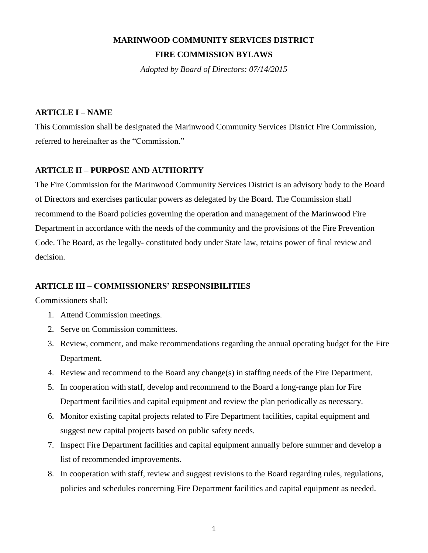# **MARINWOOD COMMUNITY SERVICES DISTRICT FIRE COMMISSION BYLAWS**

*Adopted by Board of Directors: 07/14/2015*

# **ARTICLE I – NAME**

This Commission shall be designated the Marinwood Community Services District Fire Commission, referred to hereinafter as the "Commission."

# **ARTICLE II – PURPOSE AND AUTHORITY**

The Fire Commission for the Marinwood Community Services District is an advisory body to the Board of Directors and exercises particular powers as delegated by the Board. The Commission shall recommend to the Board policies governing the operation and management of the Marinwood Fire Department in accordance with the needs of the community and the provisions of the Fire Prevention Code. The Board, as the legally- constituted body under State law, retains power of final review and decision.

# **ARTICLE III – COMMISSIONERS' RESPONSIBILITIES**

Commissioners shall:

- 1. Attend Commission meetings.
- 2. Serve on Commission committees.
- 3. Review, comment, and make recommendations regarding the annual operating budget for the Fire Department.
- 4. Review and recommend to the Board any change(s) in staffing needs of the Fire Department.
- 5. In cooperation with staff, develop and recommend to the Board a long-range plan for Fire Department facilities and capital equipment and review the plan periodically as necessary.
- 6. Monitor existing capital projects related to Fire Department facilities, capital equipment and suggest new capital projects based on public safety needs.
- 7. Inspect Fire Department facilities and capital equipment annually before summer and develop a list of recommended improvements.
- 8. In cooperation with staff, review and suggest revisions to the Board regarding rules, regulations, policies and schedules concerning Fire Department facilities and capital equipment as needed.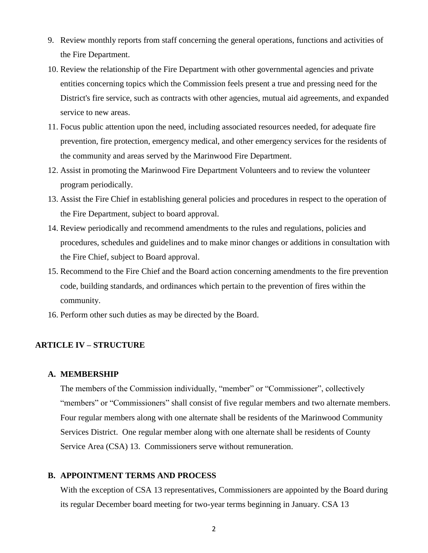- 9. Review monthly reports from staff concerning the general operations, functions and activities of the Fire Department.
- 10. Review the relationship of the Fire Department with other governmental agencies and private entities concerning topics which the Commission feels present a true and pressing need for the District's fire service, such as contracts with other agencies, mutual aid agreements, and expanded service to new areas.
- 11. Focus public attention upon the need, including associated resources needed, for adequate fire prevention, fire protection, emergency medical, and other emergency services for the residents of the community and areas served by the Marinwood Fire Department.
- 12. Assist in promoting the Marinwood Fire Department Volunteers and to review the volunteer program periodically.
- 13. Assist the Fire Chief in establishing general policies and procedures in respect to the operation of the Fire Department, subject to board approval.
- 14. Review periodically and recommend amendments to the rules and regulations, policies and procedures, schedules and guidelines and to make minor changes or additions in consultation with the Fire Chief, subject to Board approval.
- 15. Recommend to the Fire Chief and the Board action concerning amendments to the fire prevention code, building standards, and ordinances which pertain to the prevention of fires within the community.
- 16. Perform other such duties as may be directed by the Board.

# **ARTICLE IV – STRUCTURE**

#### **A. MEMBERSHIP**

The members of the Commission individually, "member" or "Commissioner", collectively "members" or "Commissioners" shall consist of five regular members and two alternate members. Four regular members along with one alternate shall be residents of the Marinwood Community Services District. One regular member along with one alternate shall be residents of County Service Area (CSA) 13. Commissioners serve without remuneration.

#### **B. APPOINTMENT TERMS AND PROCESS**

With the exception of CSA 13 representatives, Commissioners are appointed by the Board during its regular December board meeting for two-year terms beginning in January. CSA 13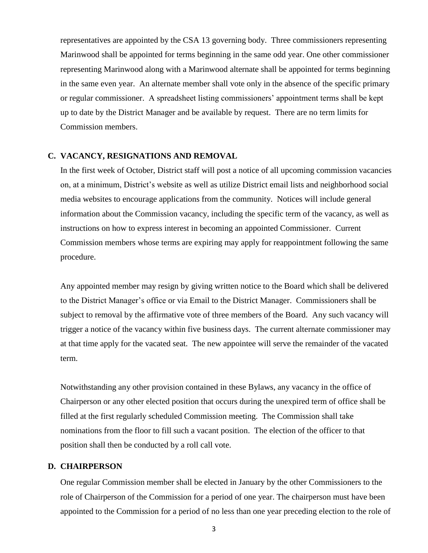representatives are appointed by the CSA 13 governing body. Three commissioners representing Marinwood shall be appointed for terms beginning in the same odd year. One other commissioner representing Marinwood along with a Marinwood alternate shall be appointed for terms beginning in the same even year. An alternate member shall vote only in the absence of the specific primary or regular commissioner. A spreadsheet listing commissioners' appointment terms shall be kept up to date by the District Manager and be available by request. There are no term limits for Commission members.

#### **C. VACANCY, RESIGNATIONS AND REMOVAL**

In the first week of October, District staff will post a notice of all upcoming commission vacancies on, at a minimum, District's website as well as utilize District email lists and neighborhood social media websites to encourage applications from the community. Notices will include general information about the Commission vacancy, including the specific term of the vacancy, as well as instructions on how to express interest in becoming an appointed Commissioner. Current Commission members whose terms are expiring may apply for reappointment following the same procedure.

Any appointed member may resign by giving written notice to the Board which shall be delivered to the District Manager's office or via Email to the District Manager. Commissioners shall be subject to removal by the affirmative vote of three members of the Board. Any such vacancy will trigger a notice of the vacancy within five business days. The current alternate commissioner may at that time apply for the vacated seat. The new appointee will serve the remainder of the vacated term.

Notwithstanding any other provision contained in these Bylaws, any vacancy in the office of Chairperson or any other elected position that occurs during the unexpired term of office shall be filled at the first regularly scheduled Commission meeting. The Commission shall take nominations from the floor to fill such a vacant position. The election of the officer to that position shall then be conducted by a roll call vote.

#### **D. CHAIRPERSON**

One regular Commission member shall be elected in January by the other Commissioners to the role of Chairperson of the Commission for a period of one year. The chairperson must have been appointed to the Commission for a period of no less than one year preceding election to the role of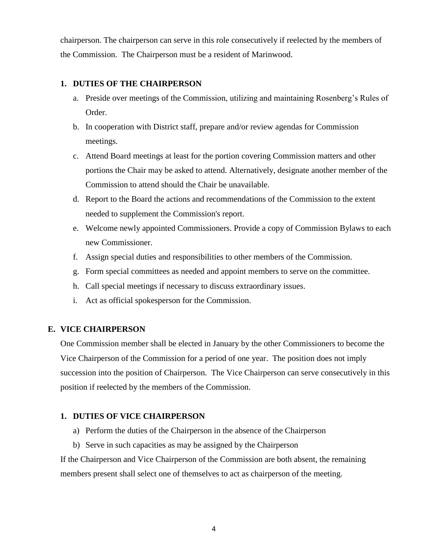chairperson. The chairperson can serve in this role consecutively if reelected by the members of the Commission. The Chairperson must be a resident of Marinwood.

## **1. DUTIES OF THE CHAIRPERSON**

- a. Preside over meetings of the Commission, utilizing and maintaining Rosenberg's Rules of Order.
- b. In cooperation with District staff, prepare and/or review agendas for Commission meetings.
- c. Attend Board meetings at least for the portion covering Commission matters and other portions the Chair may be asked to attend. Alternatively, designate another member of the Commission to attend should the Chair be unavailable.
- d. Report to the Board the actions and recommendations of the Commission to the extent needed to supplement the Commission's report.
- e. Welcome newly appointed Commissioners. Provide a copy of Commission Bylaws to each new Commissioner.
- f. Assign special duties and responsibilities to other members of the Commission.
- g. Form special committees as needed and appoint members to serve on the committee.
- h. Call special meetings if necessary to discuss extraordinary issues.
- i. Act as official spokesperson for the Commission.

## **E. VICE CHAIRPERSON**

One Commission member shall be elected in January by the other Commissioners to become the Vice Chairperson of the Commission for a period of one year. The position does not imply succession into the position of Chairperson. The Vice Chairperson can serve consecutively in this position if reelected by the members of the Commission.

## **1. DUTIES OF VICE CHAIRPERSON**

- a) Perform the duties of the Chairperson in the absence of the Chairperson
- b) Serve in such capacities as may be assigned by the Chairperson

If the Chairperson and Vice Chairperson of the Commission are both absent, the remaining members present shall select one of themselves to act as chairperson of the meeting.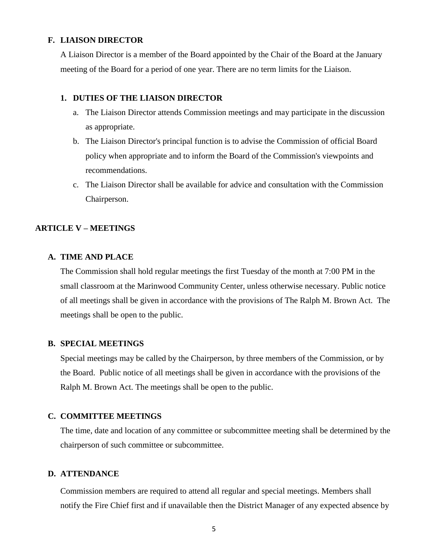## **F. LIAISON DIRECTOR**

A Liaison Director is a member of the Board appointed by the Chair of the Board at the January meeting of the Board for a period of one year. There are no term limits for the Liaison.

#### **1. DUTIES OF THE LIAISON DIRECTOR**

- a. The Liaison Director attends Commission meetings and may participate in the discussion as appropriate.
- b. The Liaison Director's principal function is to advise the Commission of official Board policy when appropriate and to inform the Board of the Commission's viewpoints and recommendations.
- c. The Liaison Director shall be available for advice and consultation with the Commission Chairperson.

# **ARTICLE V – MEETINGS**

## **A. TIME AND PLACE**

The Commission shall hold regular meetings the first Tuesday of the month at 7:00 PM in the small classroom at the Marinwood Community Center, unless otherwise necessary. Public notice of all meetings shall be given in accordance with the provisions of The Ralph M. Brown Act. The meetings shall be open to the public.

#### **B. SPECIAL MEETINGS**

Special meetings may be called by the Chairperson, by three members of the Commission, or by the Board. Public notice of all meetings shall be given in accordance with the provisions of the Ralph M. Brown Act. The meetings shall be open to the public.

## **C. COMMITTEE MEETINGS**

The time, date and location of any committee or subcommittee meeting shall be determined by the chairperson of such committee or subcommittee.

## **D. ATTENDANCE**

Commission members are required to attend all regular and special meetings. Members shall notify the Fire Chief first and if unavailable then the District Manager of any expected absence by

5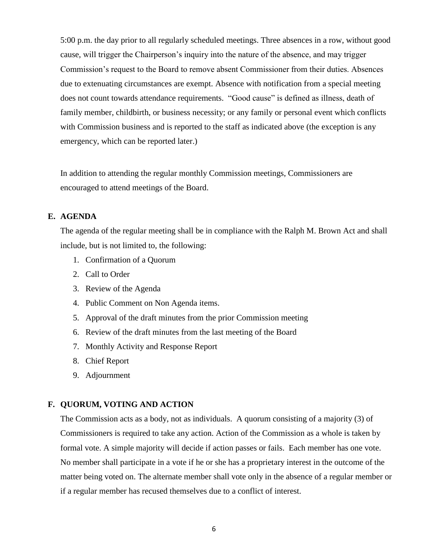5:00 p.m. the day prior to all regularly scheduled meetings. Three absences in a row, without good cause, will trigger the Chairperson's inquiry into the nature of the absence, and may trigger Commission's request to the Board to remove absent Commissioner from their duties. Absences due to extenuating circumstances are exempt. Absence with notification from a special meeting does not count towards attendance requirements. "Good cause" is defined as illness, death of family member, childbirth, or business necessity; or any family or personal event which conflicts with Commission business and is reported to the staff as indicated above (the exception is any emergency, which can be reported later.)

In addition to attending the regular monthly Commission meetings, Commissioners are encouraged to attend meetings of the Board.

# **E. AGENDA**

The agenda of the regular meeting shall be in compliance with the Ralph M. Brown Act and shall include, but is not limited to, the following:

- 1. Confirmation of a Quorum
- 2. Call to Order
- 3. Review of the Agenda
- 4. Public Comment on Non Agenda items.
- 5. Approval of the draft minutes from the prior Commission meeting
- 6. Review of the draft minutes from the last meeting of the Board
- 7. Monthly Activity and Response Report
- 8. Chief Report
- 9. Adjournment

## **F. QUORUM, VOTING AND ACTION**

The Commission acts as a body, not as individuals. A quorum consisting of a majority (3) of Commissioners is required to take any action. Action of the Commission as a whole is taken by formal vote. A simple majority will decide if action passes or fails. Each member has one vote. No member shall participate in a vote if he or she has a proprietary interest in the outcome of the matter being voted on. The alternate member shall vote only in the absence of a regular member or if a regular member has recused themselves due to a conflict of interest.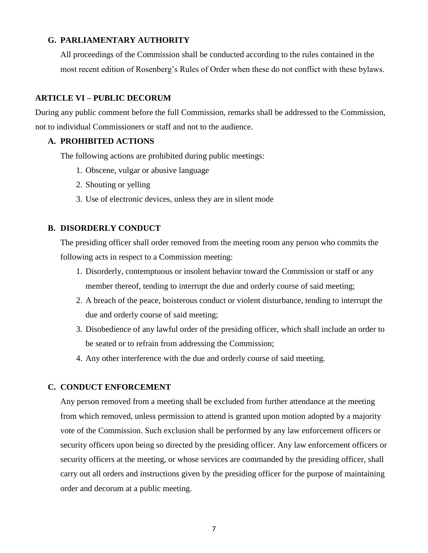# **G. PARLIAMENTARY AUTHORITY**

All proceedings of the Commission shall be conducted according to the rules contained in the most recent edition of Rosenberg's Rules of Order when these do not conflict with these bylaws.

# **ARTICLE VI – PUBLIC DECORUM**

During any public comment before the full Commission, remarks shall be addressed to the Commission, not to individual Commissioners or staff and not to the audience.

## **A. PROHIBITED ACTIONS**

The following actions are prohibited during public meetings:

- 1. Obscene, vulgar or abusive language
- 2. Shouting or yelling
- 3. Use of electronic devices, unless they are in silent mode

# **B. DISORDERLY CONDUCT**

The presiding officer shall order removed from the meeting room any person who commits the following acts in respect to a Commission meeting:

- 1. Disorderly, contemptuous or insolent behavior toward the Commission or staff or any member thereof, tending to interrupt the due and orderly course of said meeting;
- 2. A breach of the peace, boisterous conduct or violent disturbance, tending to interrupt the due and orderly course of said meeting;
- 3. Disobedience of any lawful order of the presiding officer, which shall include an order to be seated or to refrain from addressing the Commission;
- 4. Any other interference with the due and orderly course of said meeting.

# **C. CONDUCT ENFORCEMENT**

Any person removed from a meeting shall be excluded from further attendance at the meeting from which removed, unless permission to attend is granted upon motion adopted by a majority vote of the Commission. Such exclusion shall be performed by any law enforcement officers or security officers upon being so directed by the presiding officer. Any law enforcement officers or security officers at the meeting, or whose services are commanded by the presiding officer, shall carry out all orders and instructions given by the presiding officer for the purpose of maintaining order and decorum at a public meeting.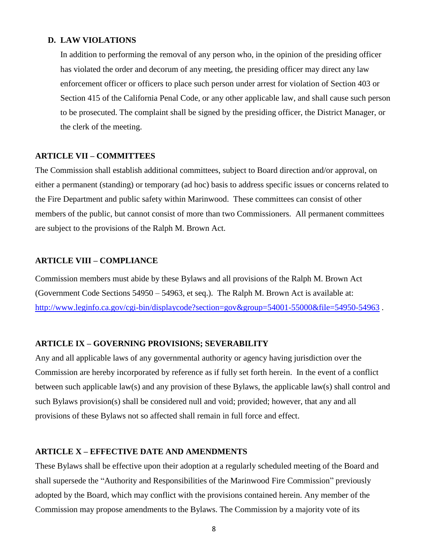## **D. LAW VIOLATIONS**

In addition to performing the removal of any person who, in the opinion of the presiding officer has violated the order and decorum of any meeting, the presiding officer may direct any law enforcement officer or officers to place such person under arrest for violation of Section 403 or Section 415 of the California Penal Code, or any other applicable law, and shall cause such person to be prosecuted. The complaint shall be signed by the presiding officer, the District Manager, or the clerk of the meeting.

## **ARTICLE VII – COMMITTEES**

The Commission shall establish additional committees, subject to Board direction and/or approval, on either a permanent (standing) or temporary (ad hoc) basis to address specific issues or concerns related to the Fire Department and public safety within Marinwood. These committees can consist of other members of the public, but cannot consist of more than two Commissioners. All permanent committees are subject to the provisions of the Ralph M. Brown Act.

### **ARTICLE VIII – COMPLIANCE**

Commission members must abide by these Bylaws and all provisions of the Ralph M. Brown Act (Government Code Sections 54950 – 54963, et seq.). The Ralph M. Brown Act is available at: <http://www.leginfo.ca.gov/cgi-bin/displaycode?section=gov&group=54001-55000&file=54950-54963>.

#### **ARTICLE IX – GOVERNING PROVISIONS; SEVERABILITY**

Any and all applicable laws of any governmental authority or agency having jurisdiction over the Commission are hereby incorporated by reference as if fully set forth herein. In the event of a conflict between such applicable law(s) and any provision of these Bylaws, the applicable law(s) shall control and such Bylaws provision(s) shall be considered null and void; provided; however, that any and all provisions of these Bylaws not so affected shall remain in full force and effect.

## **ARTICLE X – EFFECTIVE DATE AND AMENDMENTS**

These Bylaws shall be effective upon their adoption at a regularly scheduled meeting of the Board and shall supersede the "Authority and Responsibilities of the Marinwood Fire Commission" previously adopted by the Board, which may conflict with the provisions contained herein. Any member of the Commission may propose amendments to the Bylaws. The Commission by a majority vote of its